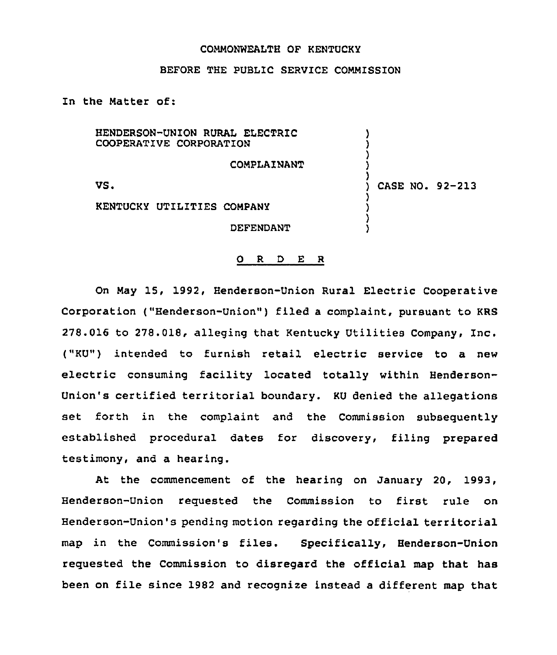## COMMONWEALTH OF KENTUCKY

## BEFORE THE PUBLIC SERVICE COMMISSION

In the Matter of:

HENDERSON-UNION RURAL ELECTRIC COOPERATIVE CORPORATION

COMPLAINANT

VS.

) CASE NO. 92-213

) ) ) ) )

) ) ) )

KENTUCKY UTILITIES COMPANY

DEFENDANT

## 0 <sup>R</sup> <sup>D</sup> E <sup>R</sup>

On May 15, 1992, Henderson-Union Rural Electric Cooperative Corporation ("Henderson-Union") filed a complaint, pursuant to KRS 278.016 to 278.018, alleging that Kentucky Utilities Company, Inc. ("KU") intended to furnish retail electric service to a new electric consuming facility located totally within Henderson-Union's certified territorial boundary. KU denied the allegations set forth in the complaint and the Commission subsequently established procedural dates for discovery, filing prepared testimony, and a hearing.

At the commencement of the hearing on January 20, 1993, Henderson-Union requested the Commission to first rule on Henderson-Union's pending motion regarding the official territorial map in the Commission's files. Specifically, Henderson-Union requested the Commission to disregard the official map that has been on file since 1982 and recognize instead a different map that